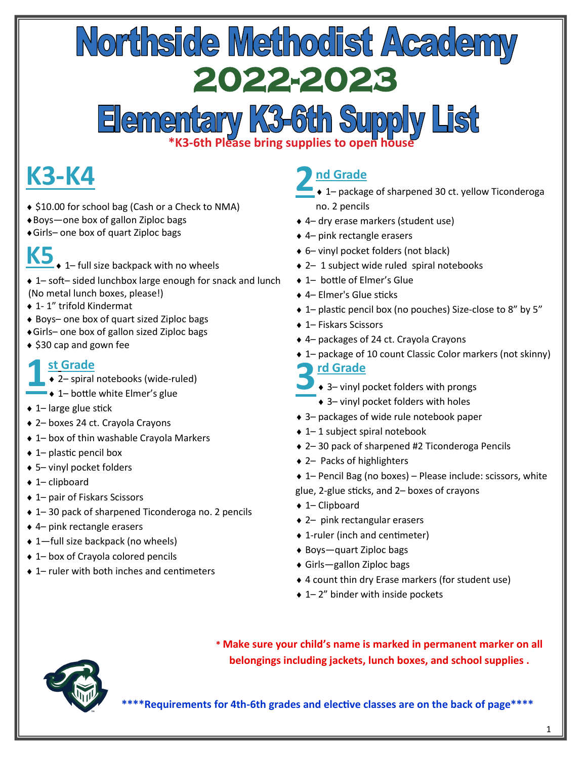## Northside Methodist Academy<br>2022-2023

### Elementary K3-6th Supply List

#### **K3-K4**

- ◆ \$10.00 for school bag (Cash or a Check to NMA)
- Boys—one box of gallon Ziploc bags
- Girls– one box of quart Ziploc bags
- 

K5<sub></sub>, 1– full size backpack with no wheels

- 1– soft– sided lunchbox large enough for snack and lunch (No metal lunch boxes, please!)
- ◆ 1-1" trifold Kindermat
- ◆ Boys– one box of quart sized Ziploc bags
- Girls– one box of gallon sized Ziploc bags
- $\triangle$  \$30 cap and gown fee

#### **1 st Grade**

 $\rightarrow$  2– spiral notebooks (wide-ruled)

- $\rightarrow$  1– bottle white Elmer's glue
- $\triangle$  1– large glue stick
- 2– boxes 24 ct. Crayola Crayons
- 1– box of thin washable Crayola Markers
- 1– plastic pencil box
- 5– vinyl pocket folders
- ◆ 1– clipboard
- ◆ 1– pair of Fiskars Scissors
- 1– 30 pack of sharpened Ticonderoga no. 2 pencils
- 4– pink rectangle erasers
- ◆ 1—full size backpack (no wheels)
- ◆ 1– box of Crayola colored pencils
- ◆ 1– ruler with both inches and centimeters

#### **2 nd Grade**

- $\rightarrow$  1– package of sharpened 30 ct. yellow Ticonderoga no. 2 pencils
- 4– dry erase markers (student use)
- 4– pink rectangle erasers
- 6– vinyl pocket folders (not black)
- 2– 1 subject wide ruled spiral notebooks
- ◆ 1– bottle of Elmer's Glue
- 4– Elmer's Glue sticks
- 1– plastic pencil box (no pouches) Size-close to 8" by 5"
- ◆ 1– Fiskars Scissors
- 4– packages of 24 ct. Crayola Crayons
- 1– package of 10 count Classic Color markers (not skinny)
- **3 rd Grade**
- $\rightarrow$  3– vinyl pocket folders with prongs
	- 3– vinyl pocket folders with holes
- 3– packages of wide rule notebook paper
- ◆ 1–1 subject spiral notebook
- ◆ 2–30 pack of sharpened #2 Ticonderoga Pencils
- ◆ 2– Packs of highlighters
- 1– Pencil Bag (no boxes) Please include: scissors, white glue, 2-glue sticks, and 2– boxes of crayons
- ◆ 1– Clipboard
- 2– pink rectangular erasers
- 1-ruler (inch and centimeter)
- ◆ Boys—quart Ziploc bags
- Girls—gallon Ziploc bags
- 4 count thin dry Erase markers (for student use)
- ◆ 1–2" binder with inside pockets



**\* Make sure your child's name is marked in permanent marker on all belongings including jackets, lunch boxes, and school supplies .**

**\*\*\*\*Requirements for 4th-6th grades and elective classes are on the back of page\*\*\*\***